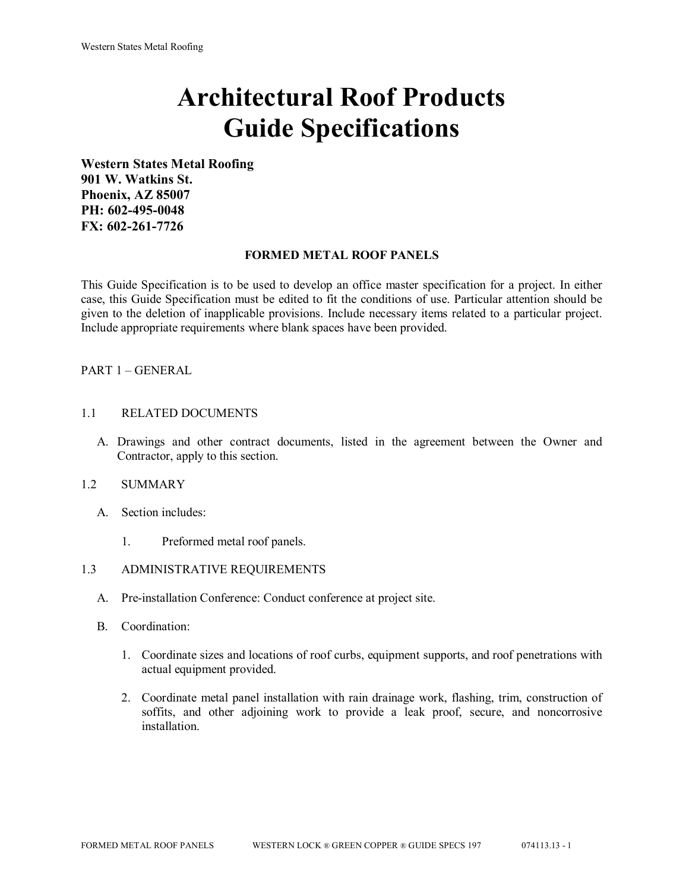# **Architectural Roof Products Guide Specifications**

**Western States Metal Roofing 901 W. Watkins St. Phoenix, AZ 85007 PH: 602-495-0048 FX: 602-261-7726**

## **FORMED METAL ROOF PANELS**

This Guide Specification is to be used to develop an office master specification for a project. In either case, this Guide Specification must be edited to fit the conditions of use. Particular attention should be given to the deletion of inapplicable provisions. Include necessary items related to a particular project. Include appropriate requirements where blank spaces have been provided.

# PART 1 – GENERAL

## 1.1 RELATED DOCUMENTS

A. Drawings and other contract documents, listed in the agreement between the Owner and Contractor, apply to this section.

## 1.2 SUMMARY

- A. Section includes:
	- 1. Preformed metal roof panels.

## 1.3 ADMINISTRATIVE REQUIREMENTS

- A. Pre-installation Conference: Conduct conference at project site.
- B. Coordination:
	- 1. Coordinate sizes and locations of roof curbs, equipment supports, and roof penetrations with actual equipment provided.
	- 2. Coordinate metal panel installation with rain drainage work, flashing, trim, construction of soffits, and other adjoining work to provide a leak proof, secure, and noncorrosive installation.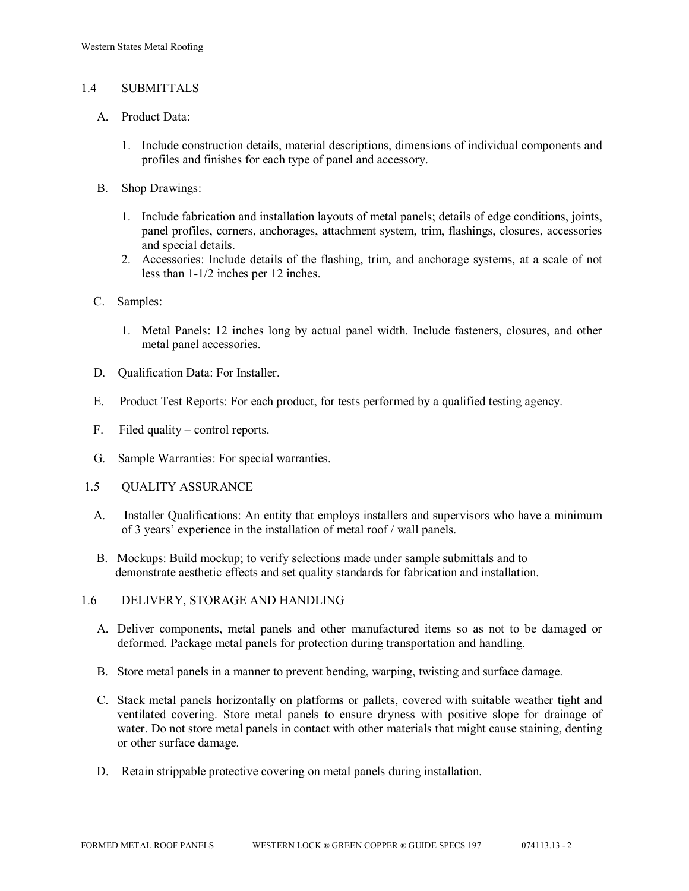## 1.4 SUBMITTALS

- A. Product Data:
	- 1. Include construction details, material descriptions, dimensions of individual components and profiles and finishes for each type of panel and accessory.
- B. Shop Drawings:
	- 1. Include fabrication and installation layouts of metal panels; details of edge conditions, joints, panel profiles, corners, anchorages, attachment system, trim, flashings, closures, accessories and special details.
	- 2. Accessories: Include details of the flashing, trim, and anchorage systems, at a scale of not less than 1-1/2 inches per 12 inches.
- C. Samples:
	- 1. Metal Panels: 12 inches long by actual panel width. Include fasteners, closures, and other metal panel accessories.
- D. Qualification Data: For Installer.
- E. Product Test Reports: For each product, for tests performed by a qualified testing agency.
- F. Filed quality control reports.
- G. Sample Warranties: For special warranties.
- 1.5 QUALITY ASSURANCE
	- A. Installer Qualifications: An entity that employs installers and supervisors who have a minimum of 3 years' experience in the installation of metal roof / wall panels.
	- B. Mockups: Build mockup; to verify selections made under sample submittals and to demonstrate aesthetic effects and set quality standards for fabrication and installation.
- 1.6 DELIVERY, STORAGE AND HANDLING
	- A. Deliver components, metal panels and other manufactured items so as not to be damaged or deformed. Package metal panels for protection during transportation and handling.
	- B. Store metal panels in a manner to prevent bending, warping, twisting and surface damage.
	- C. Stack metal panels horizontally on platforms or pallets, covered with suitable weather tight and ventilated covering. Store metal panels to ensure dryness with positive slope for drainage of water. Do not store metal panels in contact with other materials that might cause staining, denting or other surface damage.
	- D. Retain strippable protective covering on metal panels during installation.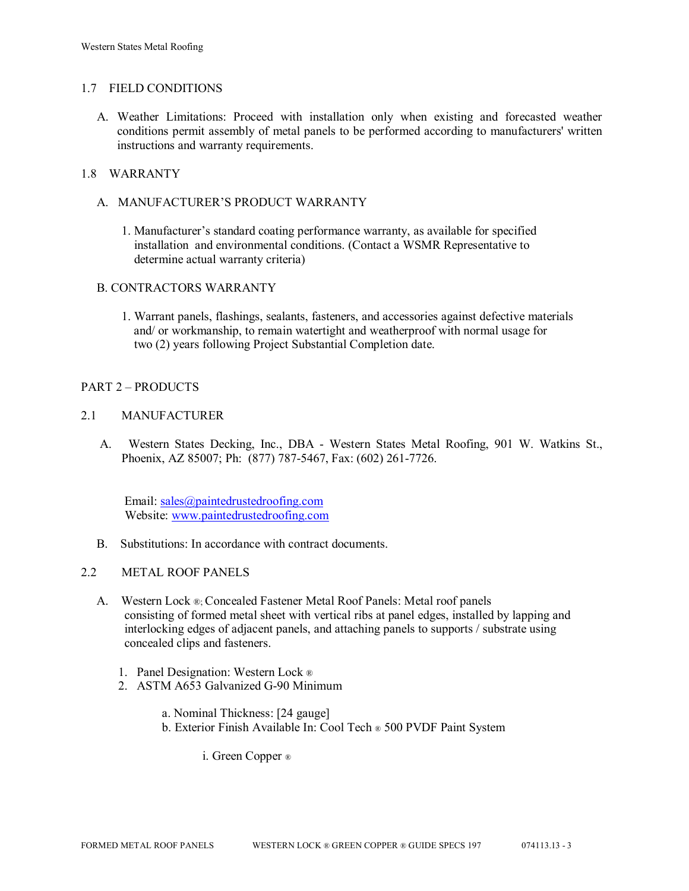#### 1.7 FIELD CONDITIONS

A. Weather Limitations: Proceed with installation only when existing and forecasted weather conditions permit assembly of metal panels to be performed according to manufacturers' written instructions and warranty requirements.

## 1.8 WARRANTY

- A. MANUFACTURER'S PRODUCT WARRANTY
	- 1. Manufacturer's standard coating performance warranty, as available for specified installation and environmental conditions. (Contact a WSMR Representative to determine actual warranty criteria)

## B. CONTRACTORS WARRANTY

1. Warrant panels, flashings, sealants, fasteners, and accessories against defective materials and/ or workmanship, to remain watertight and weatherproof with normal usage for two (2) years following Project Substantial Completion date.

## PART 2 – PRODUCTS

## 2.1 MANUFACTURER

 A. Western States Decking, Inc., DBA - Western States Metal Roofing, 901 W. Watkins St., Phoenix, AZ 85007; Ph: (877) 787-5467, Fax: (602) 261-7726.

 Email: [sales@paintedrustedroofing.com](mailto:sales@paintedrustedroofing.com) Website: [www.paintedrustedroofing.com](http://www.paintedrustedroofing.com/)

- B. Substitutions: In accordance with contract documents.
- 2.2 METAL ROOF PANELS
	- A. Western Lock ®; Concealed Fastener Metal Roof Panels: Metal roof panels consisting of formed metal sheet with vertical ribs at panel edges, installed by lapping and interlocking edges of adjacent panels, and attaching panels to supports / substrate using concealed clips and fasteners.
		- 1. Panel Designation: Western Lock ®
		- 2. ASTM A653 Galvanized G-90 Minimum
			- a. Nominal Thickness: [24 gauge]
			- b. Exterior Finish Available In: Cool Tech ® 500 PVDF Paint System

i. Green Copper ®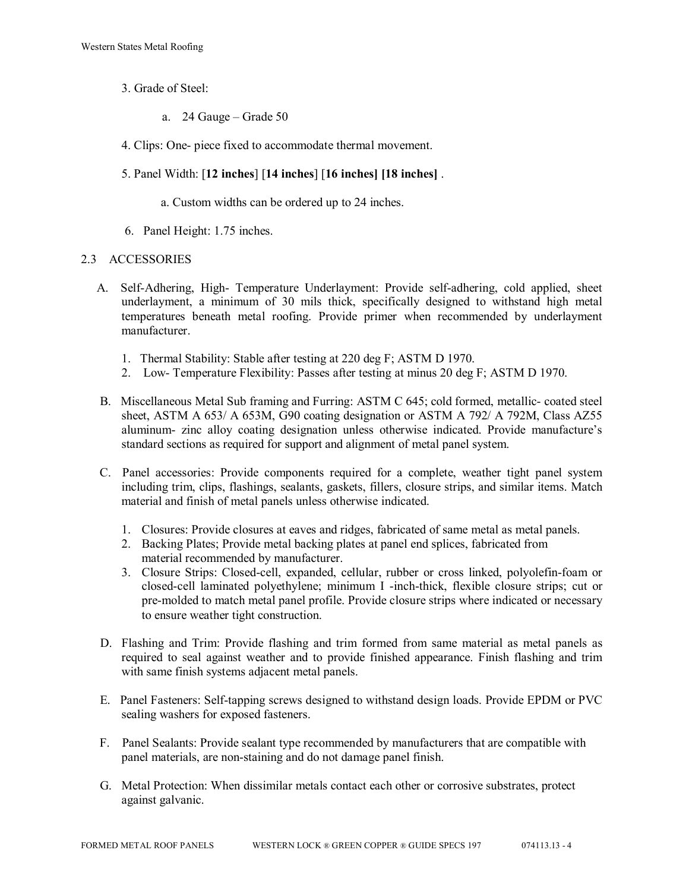- 3. Grade of Steel:
	- a. 24 Gauge Grade 50
- 4. Clips: One- piece fixed to accommodate thermal movement.
- 5. Panel Width: [**12 inches**] [**14 inches**] [**16 inches] [18 inches]** .
	- a. Custom widths can be ordered up to 24 inches.
- 6. Panel Height: 1.75 inches.

#### 2.3 ACCESSORIES

- A. Self-Adhering, High- Temperature Underlayment: Provide self-adhering, cold applied, sheet underlayment, a minimum of 30 mils thick, specifically designed to withstand high metal temperatures beneath metal roofing. Provide primer when recommended by underlayment manufacturer.
	- 1. Thermal Stability: Stable after testing at 220 deg F; ASTM D 1970.
	- 2. Low- Temperature Flexibility: Passes after testing at minus 20 deg F; ASTM D 1970.
- B. Miscellaneous Metal Sub framing and Furring: ASTM C 645; cold formed, metallic- coated steel sheet, ASTM A 653/ A 653M, G90 coating designation or ASTM A 792/ A 792M, Class AZ55 aluminum- zinc alloy coating designation unless otherwise indicated. Provide manufacture's standard sections as required for support and alignment of metal panel system.
- C. Panel accessories: Provide components required for a complete, weather tight panel system including trim, clips, flashings, sealants, gaskets, fillers, closure strips, and similar items. Match material and finish of metal panels unless otherwise indicated.
	- 1. Closures: Provide closures at eaves and ridges, fabricated of same metal as metal panels.
	- 2. Backing Plates; Provide metal backing plates at panel end splices, fabricated from material recommended by manufacturer.
	- 3. Closure Strips: Closed-cell, expanded, cellular, rubber or cross linked, polyolefin-foam or closed-cell laminated polyethylene; minimum I -inch-thick, flexible closure strips; cut or pre-molded to match metal panel profile. Provide closure strips where indicated or necessary to ensure weather tight construction.
- D. Flashing and Trim: Provide flashing and trim formed from same material as metal panels as required to seal against weather and to provide finished appearance. Finish flashing and trim with same finish systems adjacent metal panels.
- E. Panel Fasteners: Self-tapping screws designed to withstand design loads. Provide EPDM or PVC sealing washers for exposed fasteners.
- F. Panel Sealants: Provide sealant type recommended by manufacturers that are compatible with panel materials, are non-staining and do not damage panel finish.
- G. Metal Protection: When dissimilar metals contact each other or corrosive substrates, protect against galvanic.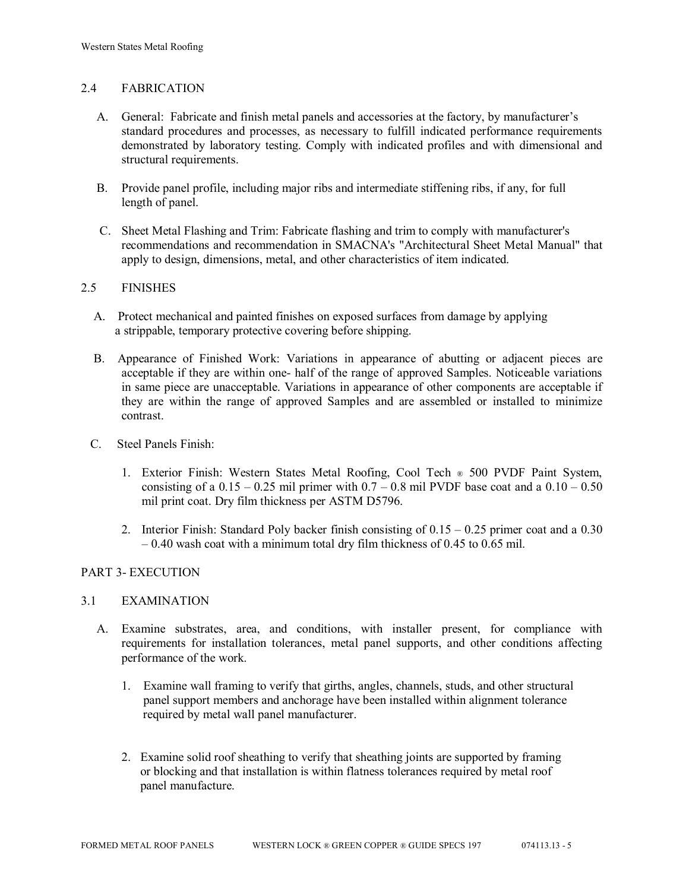## 2.4 FABRICATION

- A. General: Fabricate and finish metal panels and accessories at the factory, by manufacturer's standard procedures and processes, as necessary to fulfill indicated performance requirements demonstrated by laboratory testing. Comply with indicated profiles and with dimensional and structural requirements.
- B. Provide panel profile, including major ribs and intermediate stiffening ribs, if any, for full length of panel.
- C. Sheet Metal Flashing and Trim: Fabricate flashing and trim to comply with manufacturer's recommendations and recommendation in SMACNA's "Architectural Sheet Metal Manual" that apply to design, dimensions, metal, and other characteristics of item indicated.

#### 2.5 FINISHES

- A. Protect mechanical and painted finishes on exposed surfaces from damage by applying a strippable, temporary protective covering before shipping.
- B. Appearance of Finished Work: Variations in appearance of abutting or adjacent pieces are acceptable if they are within one- half of the range of approved Samples. Noticeable variations in same piece are unacceptable. Variations in appearance of other components are acceptable if they are within the range of approved Samples and are assembled or installed to minimize contrast.
- C. Steel Panels Finish:
	- 1. Exterior Finish: Western States Metal Roofing, Cool Tech ® 500 PVDF Paint System, consisting of a  $0.15 - 0.25$  mil primer with  $0.7 - 0.8$  mil PVDF base coat and a  $0.10 - 0.50$ mil print coat. Dry film thickness per ASTM D5796.
	- 2. Interior Finish: Standard Poly backer finish consisting of 0.15 0.25 primer coat and a 0.30 – 0.40 wash coat with a minimum total dry film thickness of 0.45 to 0.65 mil.

## PART 3- EXECUTION

#### 3.1 EXAMINATION

- A. Examine substrates, area, and conditions, with installer present, for compliance with requirements for installation tolerances, metal panel supports, and other conditions affecting performance of the work.
	- 1. Examine wall framing to verify that girths, angles, channels, studs, and other structural panel support members and anchorage have been installed within alignment tolerance required by metal wall panel manufacturer.
	- 2. Examine solid roof sheathing to verify that sheathing joints are supported by framing or blocking and that installation is within flatness tolerances required by metal roof panel manufacture.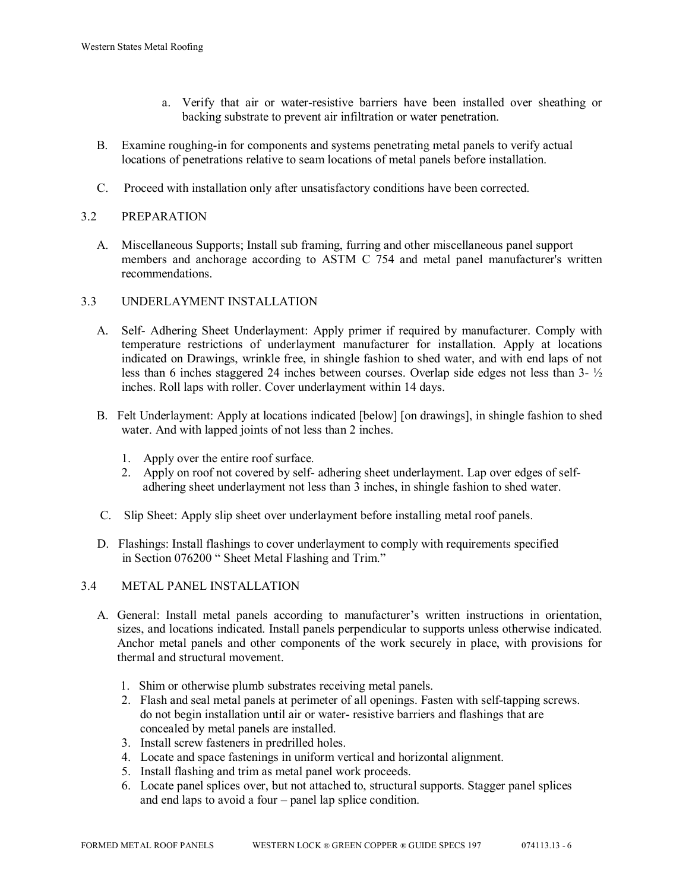- a. Verify that air or water-resistive barriers have been installed over sheathing or backing substrate to prevent air infiltration or water penetration.
- B. Examine roughing-in for components and systems penetrating metal panels to verify actual locations of penetrations relative to seam locations of metal panels before installation.
- C. Proceed with installation only after unsatisfactory conditions have been corrected.

## 3.2 PREPARATION

 A. Miscellaneous Supports; Install sub framing, furring and other miscellaneous panel support members and anchorage according to ASTM C 754 and metal panel manufacturer's written recommendations.

#### 3.3 UNDERLAYMENT INSTALLATION

- A. Self- Adhering Sheet Underlayment: Apply primer if required by manufacturer. Comply with temperature restrictions of underlayment manufacturer for installation. Apply at locations indicated on Drawings, wrinkle free, in shingle fashion to shed water, and with end laps of not less than 6 inches staggered 24 inches between courses. Overlap side edges not less than 3- ½ inches. Roll laps with roller. Cover underlayment within 14 days.
- B. Felt Underlayment: Apply at locations indicated [below] [on drawings], in shingle fashion to shed water. And with lapped joints of not less than 2 inches.
	- 1. Apply over the entire roof surface.
	- 2. Apply on roof not covered by self- adhering sheet underlayment. Lap over edges of self adhering sheet underlayment not less than 3 inches, in shingle fashion to shed water.
- C. Slip Sheet: Apply slip sheet over underlayment before installing metal roof panels.
- D. Flashings: Install flashings to cover underlayment to comply with requirements specified in Section 076200 " Sheet Metal Flashing and Trim."

#### 3.4 METAL PANEL INSTALLATION

- A. General: Install metal panels according to manufacturer's written instructions in orientation, sizes, and locations indicated. Install panels perpendicular to supports unless otherwise indicated. Anchor metal panels and other components of the work securely in place, with provisions for thermal and structural movement.
	- 1. Shim or otherwise plumb substrates receiving metal panels.
	- 2. Flash and seal metal panels at perimeter of all openings. Fasten with self-tapping screws. do not begin installation until air or water- resistive barriers and flashings that are concealed by metal panels are installed.
	- 3. Install screw fasteners in predrilled holes.
	- 4. Locate and space fastenings in uniform vertical and horizontal alignment.
	- 5. Install flashing and trim as metal panel work proceeds.
	- 6. Locate panel splices over, but not attached to, structural supports. Stagger panel splices and end laps to avoid a four – panel lap splice condition.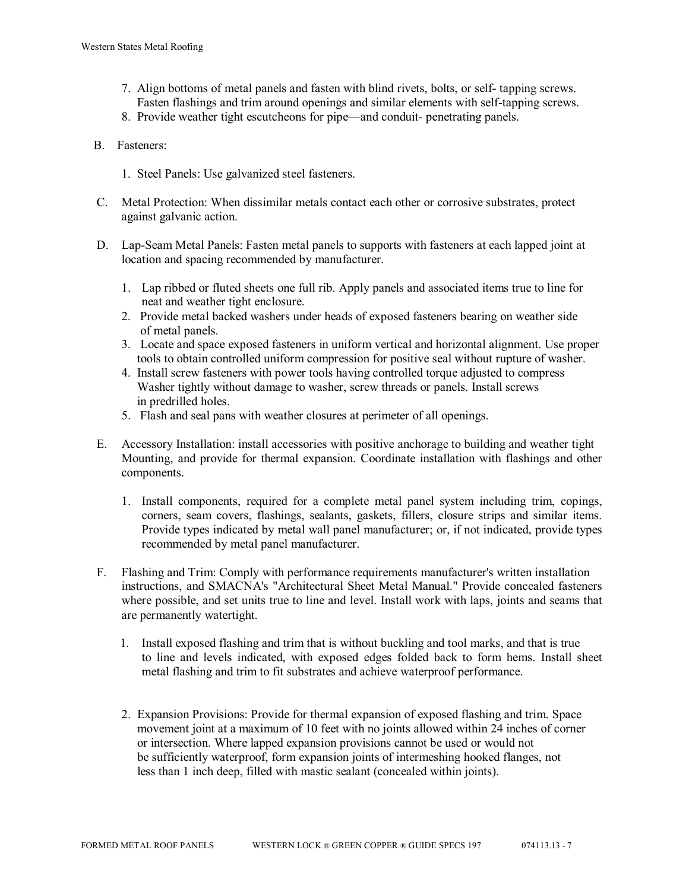- 7. Align bottoms of metal panels and fasten with blind rivets, bolts, or self- tapping screws. Fasten flashings and trim around openings and similar elements with self-tapping screws.
- 8. Provide weather tight escutcheons for pipe—and conduit- penetrating panels.
- B. Fasteners:
	- 1. Steel Panels: Use galvanized steel fasteners.
- C. Metal Protection: When dissimilar metals contact each other or corrosive substrates, protect against galvanic action.
- D. Lap-Seam Metal Panels: Fasten metal panels to supports with fasteners at each lapped joint at location and spacing recommended by manufacturer.
	- 1. Lap ribbed or fluted sheets one full rib. Apply panels and associated items true to line for neat and weather tight enclosure.
	- 2. Provide metal backed washers under heads of exposed fasteners bearing on weather side of metal panels.
	- 3. Locate and space exposed fasteners in uniform vertical and horizontal alignment. Use proper tools to obtain controlled uniform compression for positive seal without rupture of washer.
	- 4. Install screw fasteners with power tools having controlled torque adjusted to compress Washer tightly without damage to washer, screw threads or panels. Install screws in predrilled holes.
	- 5. Flash and seal pans with weather closures at perimeter of all openings.
- E. Accessory Installation: install accessories with positive anchorage to building and weather tight Mounting, and provide for thermal expansion. Coordinate installation with flashings and other components.
	- 1. Install components, required for a complete metal panel system including trim, copings, corners, seam covers, flashings, sealants, gaskets, fillers, closure strips and similar items. Provide types indicated by metal wall panel manufacturer; or, if not indicated, provide types recommended by metal panel manufacturer.
- F. Flashing and Trim: Comply with performance requirements manufacturer's written installation instructions, and SMACNA's "Architectural Sheet Metal Manual." Provide concealed fasteners where possible, and set units true to line and level. Install work with laps, joints and seams that are permanently watertight.
	- 1. Install exposed flashing and trim that is without buckling and tool marks, and that is true to line and levels indicated, with exposed edges folded back to form hems. Install sheet metal flashing and trim to fit substrates and achieve waterproof performance.
	- 2. Expansion Provisions: Provide for thermal expansion of exposed flashing and trim. Space movement joint at a maximum of 10 feet with no joints allowed within 24 inches of corner or intersection. Where lapped expansion provisions cannot be used or would not be sufficiently waterproof, form expansion joints of intermeshing hooked flanges, not less than 1 inch deep, filled with mastic sealant (concealed within joints).